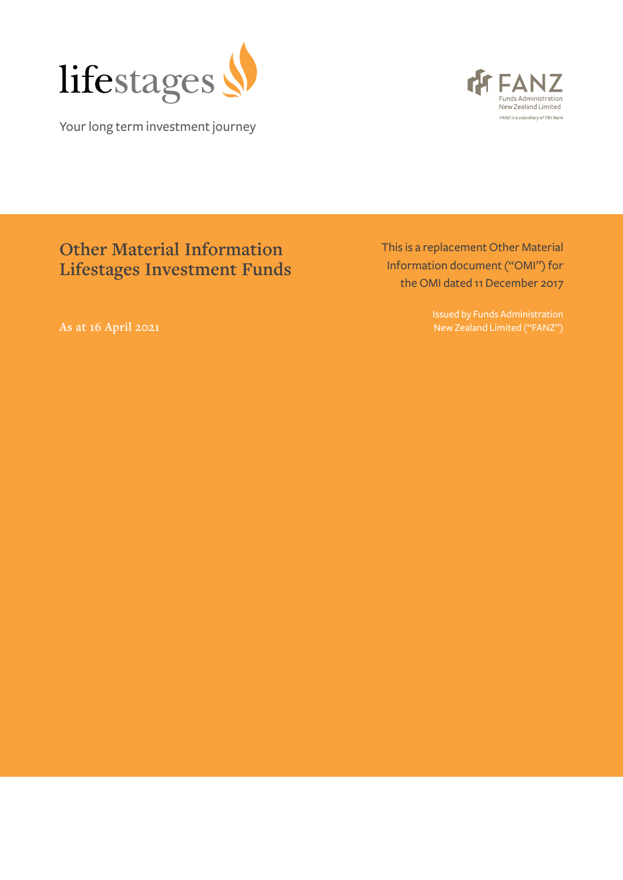

Your long term investment journey



# **Other Material Information Lifestages Investment Funds**

This is a replacement Other Material Information document ("OMI") for the OMI dated 11 December 2017

> Issued by Funds Administration New Zealand Limited ("FANZ")

**As at 16 April 2021**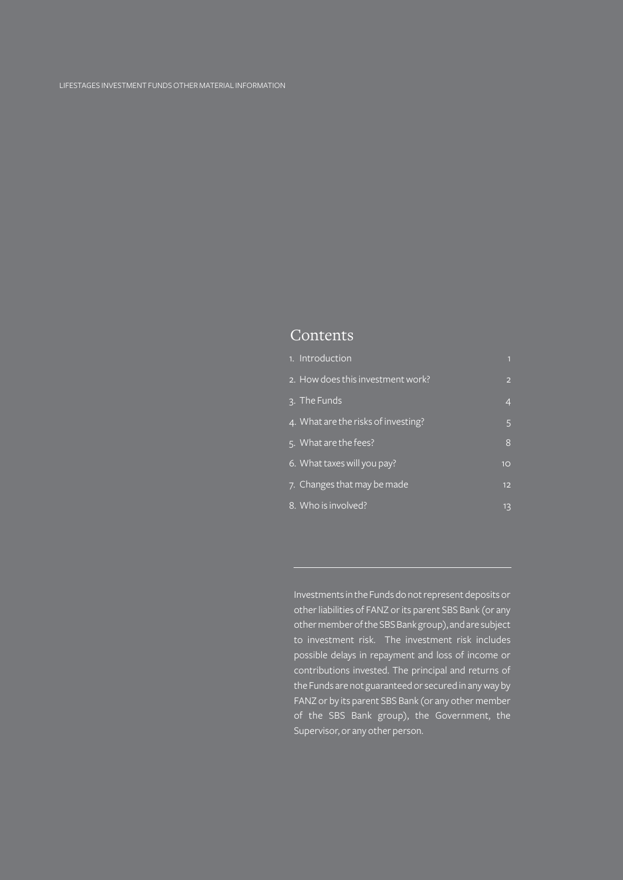# Contents

| 1. Introduction                     |                |
|-------------------------------------|----------------|
| 2. How does this investment work?   | $\overline{2}$ |
| 3. The Funds                        | 4              |
| 4. What are the risks of investing? | 5              |
| 5. What are the fees?               | 8              |
| 6. What taxes will you pay?         | 10             |
| 7. Changes that may be made         | 12             |
| 8. Who is involved?                 | 13             |

Investments in the Funds do not represent deposits or other liabilities of FANZ or its parent SBS Bank (or any other member of the SBS Bank group), and are subject to investment risk. The investment risk includes possible delays in repayment and loss of income or contributions invested. The principal and returns of the Funds are not guaranteed or secured in any way by FANZ or by its parent SBS Bank (or any other member of the SBS Bank group), the Government, the Supervisor, or any other person.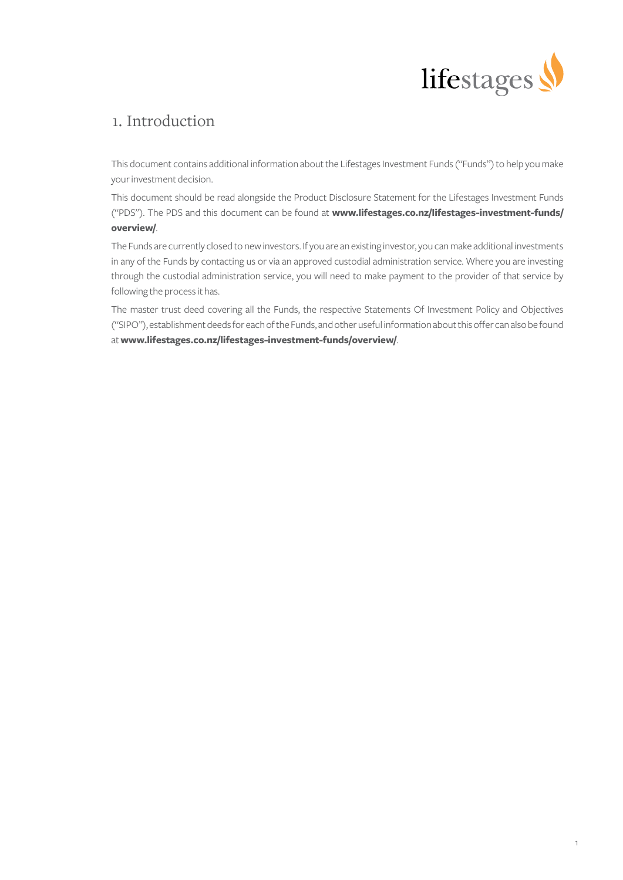

# 1. Introduction

This document contains additional information about the Lifestages Investment Funds ("Funds") to help you make your investment decision.

This document should be read alongside the Product Disclosure Statement for the Lifestages Investment Funds ("PDS"). The PDS and this document can be found at **[www.lifestages.co.nz/lifestages-investment-funds/](https://www.lifestages.co.nz/lifestages-investment-funds/overview/) [overview/](https://www.lifestages.co.nz/lifestages-investment-funds/overview/)**.

The Funds are currently closed to new investors. If you are an existing investor, you can make additional investments in any of the Funds by contacting us or via an approved custodial administration service. Where you are investing through the custodial administration service, you will need to make payment to the provider of that service by following the process it has.

The master trust deed covering all the Funds, the respective Statements Of Investment Policy and Objectives ("SIPO"), establishment deeds for each of the Funds, and other useful information about this offer can also be found at **[www.lifestages.co.nz/lifestages-investment-funds/overview/](https://www.lifestages.co.nz/lifestages-investment-funds/overview/)**.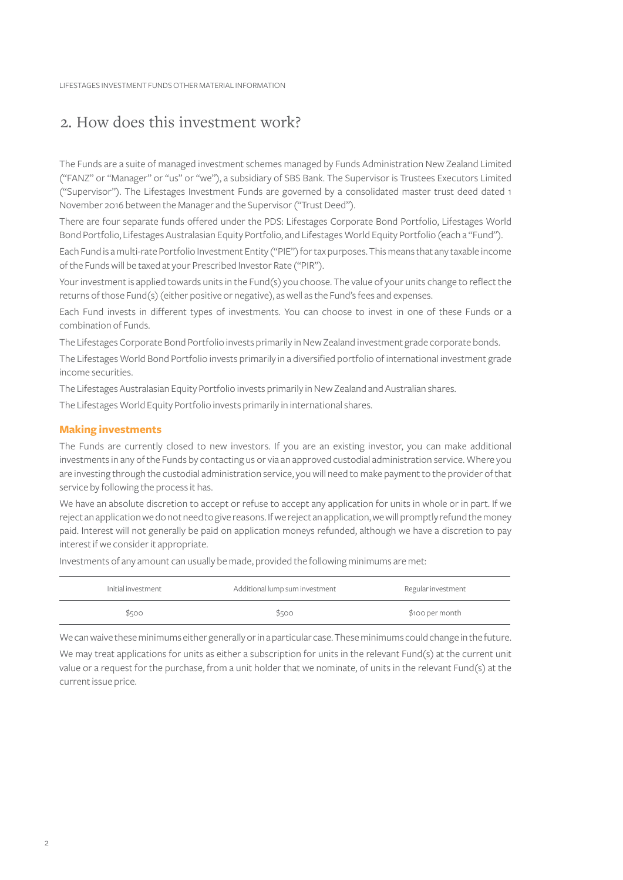# 2. How does this investment work?

The Funds are a suite of managed investment schemes managed by Funds Administration New Zealand Limited ("FANZ" or "Manager" or "us" or "we"), a subsidiary of SBS Bank. The Supervisor is Trustees Executors Limited ("Supervisor"). The Lifestages Investment Funds are governed by a consolidated master trust deed dated 1 November 2016 between the Manager and the Supervisor ("Trust Deed").

There are four separate funds offered under the PDS: Lifestages Corporate Bond Portfolio, Lifestages World Bond Portfolio, Lifestages Australasian Equity Portfolio, and Lifestages World Equity Portfolio (each a "Fund").

Each Fund is a multi-rate Portfolio Investment Entity ("PIE") for tax purposes. This means that any taxable income of the Funds will be taxed at your Prescribed Investor Rate ("PIR").

Your investment is applied towards units in the Fund(s) you choose. The value of your units change to reflect the returns of those Fund(s) (either positive or negative), as well as the Fund's fees and expenses.

Each Fund invests in different types of investments. You can choose to invest in one of these Funds or a combination of Funds.

The Lifestages Corporate Bond Portfolio invests primarily in New Zealand investment grade corporate bonds.

The Lifestages World Bond Portfolio invests primarily in a diversified portfolio of international investment grade income securities.

The Lifestages Australasian Equity Portfolio invests primarily in New Zealand and Australian shares.

The Lifestages World Equity Portfolio invests primarily in international shares.

# **Making investments**

The Funds are currently closed to new investors. If you are an existing investor, you can make additional investments in any of the Funds by contacting us or via an approved custodial administration service. Where you are investing through the custodial administration service, you will need to make payment to the provider of that service by following the process it has.

We have an absolute discretion to accept or refuse to accept any application for units in whole or in part. If we reject an application we do not need to give reasons. If we reject an application, we will promptly refund the money paid. Interest will not generally be paid on application moneys refunded, although we have a discretion to pay interest if we consider it appropriate.

Investments of any amount can usually be made, provided the following minimums are met:

| Initial investment | Additional lump sum investment | Regular investment |
|--------------------|--------------------------------|--------------------|
| \$500              | \$500                          | \$100 per month    |

We can waive these minimums either generally or in a particular case. These minimums could change in the future.

We may treat applications for units as either a subscription for units in the relevant Fund(s) at the current unit value or a request for the purchase, from a unit holder that we nominate, of units in the relevant Fund(s) at the current issue price.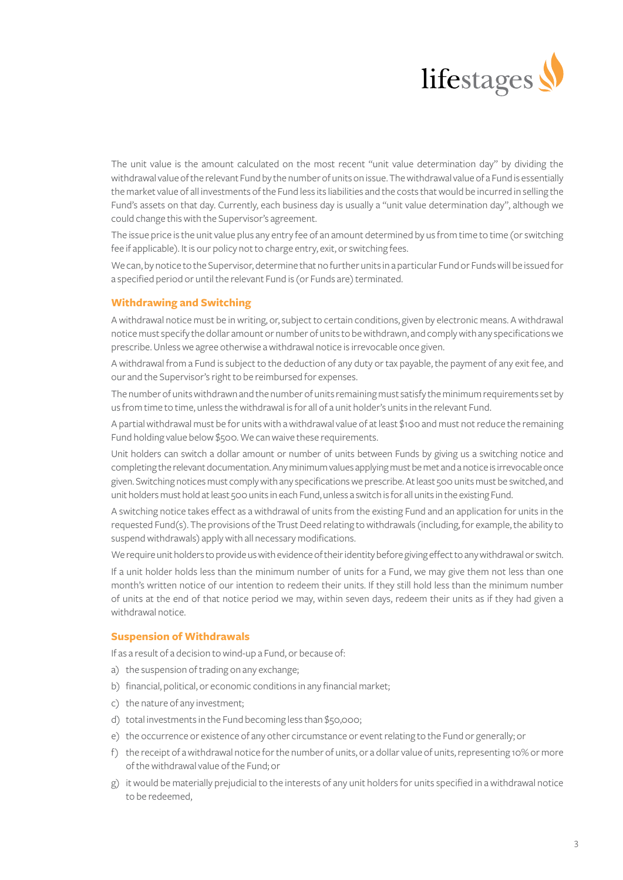

The unit value is the amount calculated on the most recent "unit value determination day" by dividing the withdrawal value of the relevant Fund by the number of units on issue. The withdrawal value of a Fund is essentially the market value of all investments of the Fund less its liabilities and the costs that would be incurred in selling the Fund's assets on that day. Currently, each business day is usually a "unit value determination day", although we could change this with the Supervisor's agreement.

The issue price is the unit value plus any entry fee of an amount determined by us from time to time (or switching fee if applicable). It is our policy not to charge entry, exit, or switching fees.

We can, by notice to the Supervisor, determine that no further units in a particular Fund or Funds will be issued for a specified period or until the relevant Fund is (or Funds are) terminated.

# **Withdrawing and Switching**

A withdrawal notice must be in writing, or, subject to certain conditions, given by electronic means. A withdrawal notice must specify the dollar amount or number of units to be withdrawn, and comply with any specifications we prescribe. Unless we agree otherwise a withdrawal notice is irrevocable once given.

A withdrawal from a Fund is subject to the deduction of any duty or tax payable, the payment of any exit fee, and our and the Supervisor's right to be reimbursed for expenses.

The number of units withdrawn and the number of units remaining must satisfy the minimum requirements set by us from time to time, unless the withdrawal is for all of a unit holder's units in the relevant Fund.

A partial withdrawal must be for units with a withdrawal value of at least \$100 and must not reduce the remaining Fund holding value below \$500. We can waive these requirements.

Unit holders can switch a dollar amount or number of units between Funds by giving us a switching notice and completing the relevant documentation. Any minimum values applying must be met and a notice is irrevocable once given. Switching notices must comply with any specifications we prescribe. At least 500 units must be switched, and unit holders must hold at least 500 units in each Fund, unless a switch is for all units in the existing Fund.

A switching notice takes effect as a withdrawal of units from the existing Fund and an application for units in the requested Fund(s). The provisions of the Trust Deed relating to withdrawals (including, for example, the ability to suspend withdrawals) apply with all necessary modifications.

We require unit holders to provide us with evidence of their identity before giving effect to any withdrawal or switch.

If a unit holder holds less than the minimum number of units for a Fund, we may give them not less than one month's written notice of our intention to redeem their units. If they still hold less than the minimum number of units at the end of that notice period we may, within seven days, redeem their units as if they had given a withdrawal notice.

## **Suspension of Withdrawals**

If as a result of a decision to wind-up a Fund, or because of:

- a) the suspension of trading on any exchange;
- b) financial, political, or economic conditions in any financial market;
- c) the nature of any investment;
- d) total investments in the Fund becoming less than \$50,000;
- e) the occurrence or existence of any other circumstance or event relating to the Fund or generally; or
- f) the receipt of a withdrawal notice for the number of units, or a dollar value of units, representing 10% or more of the withdrawal value of the Fund; or
- g) it would be materially prejudicial to the interests of any unit holders for units specified in a withdrawal notice to be redeemed,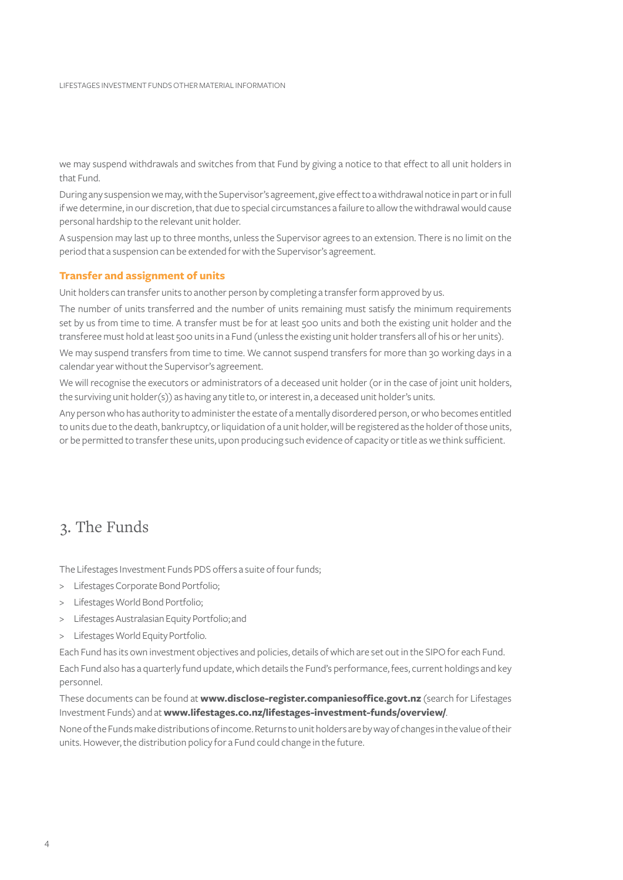we may suspend withdrawals and switches from that Fund by giving a notice to that effect to all unit holders in that Fund.

During any suspension we may, with the Supervisor's agreement, give effect to a withdrawal notice in part or in full if we determine, in our discretion, that due to special circumstances a failure to allow the withdrawal would cause personal hardship to the relevant unit holder.

A suspension may last up to three months, unless the Supervisor agrees to an extension. There is no limit on the period that a suspension can be extended for with the Supervisor's agreement.

# **Transfer and assignment of units**

Unit holders can transfer units to another person by completing a transfer form approved by us.

The number of units transferred and the number of units remaining must satisfy the minimum requirements set by us from time to time. A transfer must be for at least 500 units and both the existing unit holder and the transferee must hold at least 500 units in a Fund (unless the existing unit holder transfers all of his or her units).

We may suspend transfers from time to time. We cannot suspend transfers for more than 30 working days in a calendar year without the Supervisor's agreement.

We will recognise the executors or administrators of a deceased unit holder (or in the case of joint unit holders, the surviving unit holder(s)) as having any title to, or interest in, a deceased unit holder's units.

Any person who has authority to administer the estate of a mentally disordered person, or who becomes entitled to units due to the death, bankruptcy, or liquidation of a unit holder, will be registered as the holder of those units, or be permitted to transfer these units, upon producing such evidence of capacity or title as we think sufficient.

# 3. The Funds

The Lifestages Investment Funds PDS offers a suite of four funds;

- > Lifestages Corporate Bond Portfolio;
- > Lifestages World Bond Portfolio;
- > Lifestages Australasian Equity Portfolio; and
- > Lifestages World Equity Portfolio.

Each Fund has its own investment objectives and policies, details of which are set out in the SIPO for each Fund.

Each Fund also has a quarterly fund update, which details the Fund's performance, fees, current holdings and key personnel.

These documents can be found at **[www.disclose-register.companiesoffice.govt.nz](https://www.disclose-register.companiesoffice.govt.nz)** (search for Lifestages Investment Funds) and at **[www.lifestages.co.nz/lifestages-investment-funds/overview/](https://www.lifestages.co.nz/lifestages-investment-funds/overview/)**.

None of the Funds make distributions of income. Returns to unit holders are by way of changes in the value of their units. However, the distribution policy for a Fund could change in the future.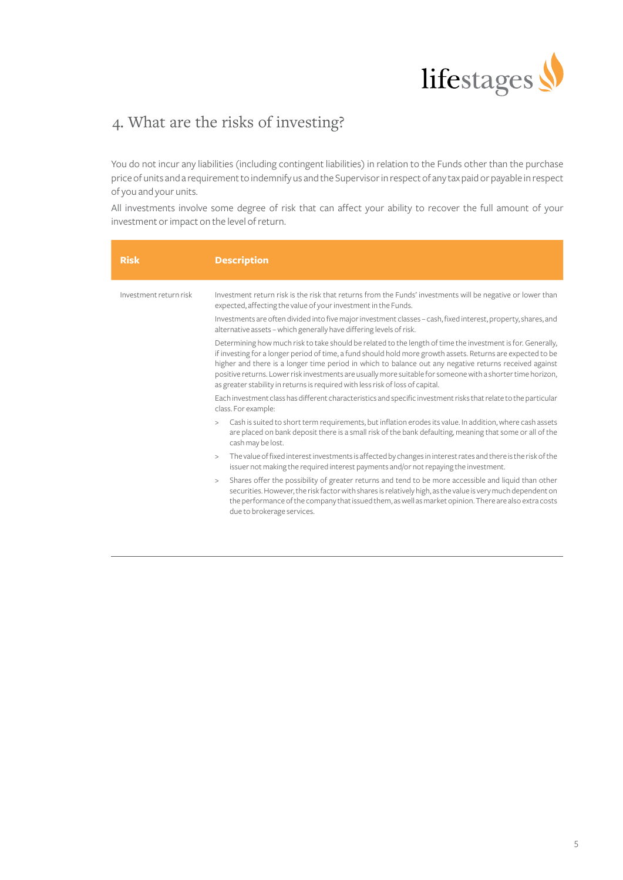

# 4. What are the risks of investing?

You do not incur any liabilities (including contingent liabilities) in relation to the Funds other than the purchase price of units and a requirement to indemnify us and the Supervisor in respect of any tax paid or payable in respect of you and your units.

All investments involve some degree of risk that can affect your ability to recover the full amount of your investment or impact on the level of return.

| <b>Risk</b>            | <b>Description</b>                                                                                                                                                                                                                                                                                                                                                                                                                                                                                                                                                                                                                                                                                                                                                                                                                                                                                                                                                                                                                                                                                                                                                                                                                                                                                                                                                                                                                                                                                                                                                                                                                               |
|------------------------|--------------------------------------------------------------------------------------------------------------------------------------------------------------------------------------------------------------------------------------------------------------------------------------------------------------------------------------------------------------------------------------------------------------------------------------------------------------------------------------------------------------------------------------------------------------------------------------------------------------------------------------------------------------------------------------------------------------------------------------------------------------------------------------------------------------------------------------------------------------------------------------------------------------------------------------------------------------------------------------------------------------------------------------------------------------------------------------------------------------------------------------------------------------------------------------------------------------------------------------------------------------------------------------------------------------------------------------------------------------------------------------------------------------------------------------------------------------------------------------------------------------------------------------------------------------------------------------------------------------------------------------------------|
| Investment return risk | Investment return risk is the risk that returns from the Funds' investments will be negative or lower than<br>expected, affecting the value of your investment in the Funds.<br>Investments are often divided into five major investment classes - cash, fixed interest, property, shares, and<br>alternative assets - which generally have differing levels of risk.<br>Determining how much risk to take should be related to the length of time the investment is for. Generally,<br>if investing for a longer period of time, a fund should hold more growth assets. Returns are expected to be<br>higher and there is a longer time period in which to balance out any negative returns received against<br>positive returns. Lower risk investments are usually more suitable for someone with a shorter time horizon,<br>as greater stability in returns is required with less risk of loss of capital.<br>Each investment class has different characteristics and specific investment risks that relate to the particular<br>class. For example:<br>Cash is suited to short term requirements, but inflation erodes its value. In addition, where cash assets<br>$\geq$<br>are placed on bank deposit there is a small risk of the bank defaulting, meaning that some or all of the<br>cash may be lost.<br>The value of fixed interest investments is affected by changes in interest rates and there is the risk of the<br>$\geq$<br>issuer not making the required interest payments and/or not repaying the investment.<br>Shares offer the possibility of greater returns and tend to be more accessible and liquid than other<br>> |
|                        | securities. However, the risk factor with shares is relatively high, as the value is very much dependent on<br>the performance of the company that issued them, as well as market opinion. There are also extra costs<br>due to brokerage services.                                                                                                                                                                                                                                                                                                                                                                                                                                                                                                                                                                                                                                                                                                                                                                                                                                                                                                                                                                                                                                                                                                                                                                                                                                                                                                                                                                                              |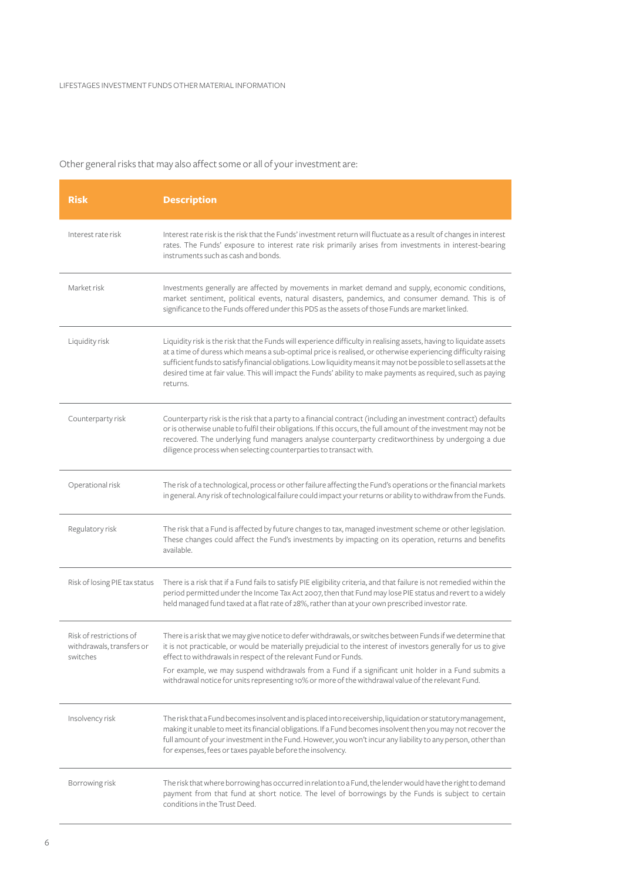# Other general risks that may also affect some or all of your investment are:

| <b>Risk</b>                                                      | <b>Description</b>                                                                                                                                                                                                                                                                                                                                                                                                                                                                       |
|------------------------------------------------------------------|------------------------------------------------------------------------------------------------------------------------------------------------------------------------------------------------------------------------------------------------------------------------------------------------------------------------------------------------------------------------------------------------------------------------------------------------------------------------------------------|
| Interest rate risk                                               | Interest rate risk is the risk that the Funds' investment return will fluctuate as a result of changes in interest<br>rates. The Funds' exposure to interest rate risk primarily arises from investments in interest-bearing<br>instruments such as cash and bonds.                                                                                                                                                                                                                      |
| Market risk                                                      | Investments generally are affected by movements in market demand and supply, economic conditions,<br>market sentiment, political events, natural disasters, pandemics, and consumer demand. This is of<br>significance to the Funds offered under this PDS as the assets of those Funds are market linked.                                                                                                                                                                               |
| Liquidity risk                                                   | Liquidity risk is the risk that the Funds will experience difficulty in realising assets, having to liquidate assets<br>at a time of duress which means a sub-optimal price is realised, or otherwise experiencing difficulty raising<br>sufficient funds to satisfy financial obligations. Low liquidity means it may not be possible to sell assets at the<br>desired time at fair value. This will impact the Funds' ability to make payments as required, such as paying<br>returns. |
| Counterparty risk                                                | Counterparty risk is the risk that a party to a financial contract (including an investment contract) defaults<br>or is otherwise unable to fulfil their obligations. If this occurs, the full amount of the investment may not be<br>recovered. The underlying fund managers analyse counterparty creditworthiness by undergoing a due<br>diligence process when selecting counterparties to transact with.                                                                             |
| Operational risk                                                 | The risk of a technological, process or other failure affecting the Fund's operations or the financial markets<br>in general. Any risk of technological failure could impact your returns or ability to withdraw from the Funds.                                                                                                                                                                                                                                                         |
| Regulatory risk                                                  | The risk that a Fund is affected by future changes to tax, managed investment scheme or other legislation.<br>These changes could affect the Fund's investments by impacting on its operation, returns and benefits<br>available.                                                                                                                                                                                                                                                        |
| Risk of losing PIE tax status                                    | There is a risk that if a Fund fails to satisfy PIE eligibility criteria, and that failure is not remedied within the<br>period permitted under the Income Tax Act 2007, then that Fund may lose PIE status and revert to a widely<br>held managed fund taxed at a flat rate of 28%, rather than at your own prescribed investor rate.                                                                                                                                                   |
| Risk of restrictions of<br>withdrawals, transfers or<br>switches | There is a risk that we may give notice to defer withdrawals, or switches between Funds if we determine that<br>it is not practicable, or would be materially prejudicial to the interest of investors generally for us to give<br>effect to withdrawals in respect of the relevant Fund or Funds.                                                                                                                                                                                       |
|                                                                  | For example, we may suspend withdrawals from a Fund if a significant unit holder in a Fund submits a<br>withdrawal notice for units representing 10% or more of the withdrawal value of the relevant Fund.                                                                                                                                                                                                                                                                               |
| Insolvency risk                                                  | The risk that a Fund becomes insolvent and is placed into receivership, liquidation or statutory management,<br>making it unable to meet its financial obligations. If a Fund becomes insolvent then you may not recover the<br>full amount of your investment in the Fund. However, you won't incur any liability to any person, other than<br>for expenses, fees or taxes payable before the insolvency.                                                                               |
| Borrowing risk                                                   | The risk that where borrowing has occurred in relation to a Fund, the lender would have the right to demand<br>payment from that fund at short notice. The level of borrowings by the Funds is subject to certain<br>conditions in the Trust Deed.                                                                                                                                                                                                                                       |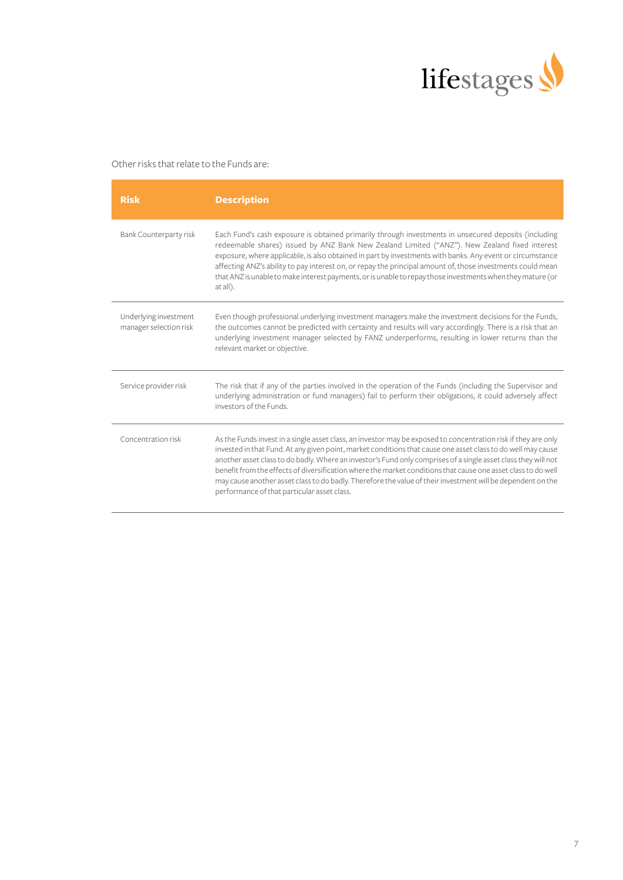

# Other risks that relate to the Funds are:

| <b>Risk</b>                                     | <b>Description</b>                                                                                                                                                                                                                                                                                                                                                                                                                                                                                                                                                                                                              |
|-------------------------------------------------|---------------------------------------------------------------------------------------------------------------------------------------------------------------------------------------------------------------------------------------------------------------------------------------------------------------------------------------------------------------------------------------------------------------------------------------------------------------------------------------------------------------------------------------------------------------------------------------------------------------------------------|
| Bank Counterparty risk                          | Each Fund's cash exposure is obtained primarily through investments in unsecured deposits (including<br>redeemable shares) issued by ANZ Bank New Zealand Limited ("ANZ"). New Zealand fixed interest<br>exposure, where applicable, is also obtained in part by investments with banks. Any event or circumstance<br>affecting ANZ's ability to pay interest on, or repay the principal amount of, those investments could mean<br>that ANZ is unable to make interest payments, or is unable to repay those investments when they mature (or<br>at all).                                                                      |
| Underlying investment<br>manager selection risk | Even though professional underlying investment managers make the investment decisions for the Funds,<br>the outcomes cannot be predicted with certainty and results will vary accordingly. There is a risk that an<br>underlying investment manager selected by FANZ underperforms, resulting in lower returns than the<br>relevant market or objective.                                                                                                                                                                                                                                                                        |
| Service provider risk                           | The risk that if any of the parties involved in the operation of the Funds (including the Supervisor and<br>underlying administration or fund managers) fail to perform their obligations, it could adversely affect<br>investors of the Funds.                                                                                                                                                                                                                                                                                                                                                                                 |
| Concentration risk                              | As the Funds invest in a single asset class, an investor may be exposed to concentration risk if they are only<br>invested in that Fund. At any given point, market conditions that cause one asset class to do well may cause<br>another asset class to do badly. Where an investor's Fund only comprises of a single asset class they will not<br>benefit from the effects of diversification where the market conditions that cause one asset class to do well<br>may cause another asset class to do badly. Therefore the value of their investment will be dependent on the<br>performance of that particular asset class. |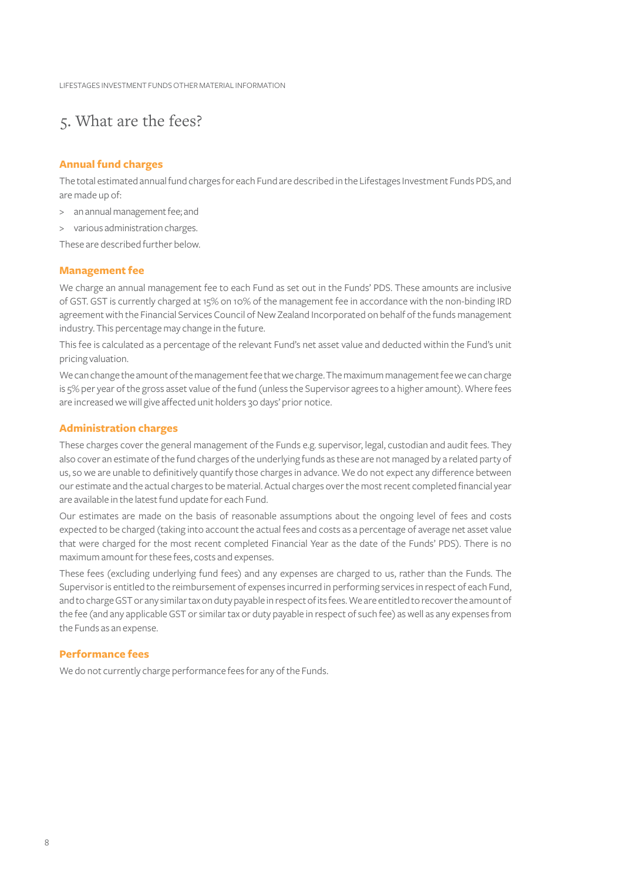LIFESTAGES INVESTMENT FUNDS OTHER MATERIAL INFORMATION

# 5. What are the fees?

# **Annual fund charges**

The total estimated annual fund charges for each Fund are described in the Lifestages Investment Funds PDS, and are made up of:

- > an annual management fee; and
- > various administration charges.

These are described further below.

# **Management fee**

We charge an annual management fee to each Fund as set out in the Funds' PDS. These amounts are inclusive of GST. GST is currently charged at 15% on 10% of the management fee in accordance with the non-binding IRD agreement with the Financial Services Council of New Zealand Incorporated on behalf of the funds management industry. This percentage may change in the future.

This fee is calculated as a percentage of the relevant Fund's net asset value and deducted within the Fund's unit pricing valuation.

We can change the amount of the management fee that we charge. The maximum management fee we can charge is 5% per year of the gross asset value of the fund (unless the Supervisor agrees to a higher amount). Where fees are increased we will give affected unit holders 30 days' prior notice.

# **Administration charges**

These charges cover the general management of the Funds e.g. supervisor, legal, custodian and audit fees. They also cover an estimate of the fund charges of the underlying funds as these are not managed by a related party of us, so we are unable to definitively quantify those charges in advance. We do not expect any difference between our estimate and the actual charges to be material. Actual charges over the most recent completed financial year are available in the latest fund update for each Fund.

Our estimates are made on the basis of reasonable assumptions about the ongoing level of fees and costs expected to be charged (taking into account the actual fees and costs as a percentage of average net asset value that were charged for the most recent completed Financial Year as the date of the Funds' PDS). There is no maximum amount for these fees, costs and expenses.

These fees (excluding underlying fund fees) and any expenses are charged to us, rather than the Funds. The Supervisor is entitled to the reimbursement of expenses incurred in performing services in respect of each Fund, and to charge GST or any similar tax on duty payable in respect of its fees. We are entitled to recover the amount of the fee (and any applicable GST or similar tax or duty payable in respect of such fee) as well as any expenses from the Funds as an expense.

### **Performance fees**

We do not currently charge performance fees for any of the Funds.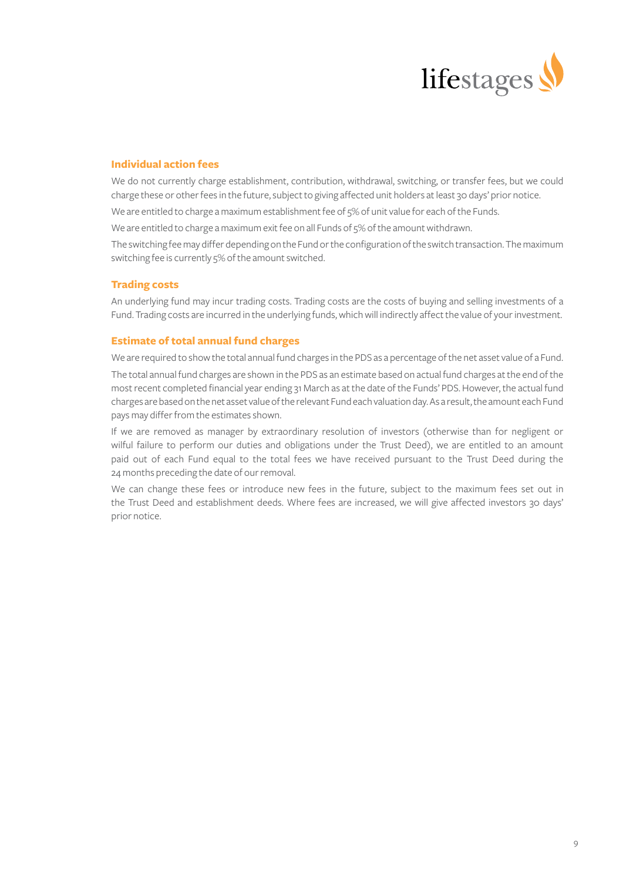

# **Individual action fees**

We do not currently charge establishment, contribution, withdrawal, switching, or transfer fees, but we could charge these or other fees in the future, subject to giving affected unit holders at least 30 days' prior notice.

We are entitled to charge a maximum establishment fee of 5% of unit value for each of the Funds.

We are entitled to charge a maximum exit fee on all Funds of 5% of the amount withdrawn.

The switching fee may differ depending on the Fund or the configuration of the switch transaction. The maximum switching fee is currently 5% of the amount switched.

## **Trading costs**

An underlying fund may incur trading costs. Trading costs are the costs of buying and selling investments of a Fund. Trading costs are incurred in the underlying funds, which will indirectly affect the value of your investment.

# **Estimate of total annual fund charges**

We are required to show the total annual fund charges in the PDS as a percentage of the net asset value of a Fund.

The total annual fund charges are shown in the PDS as an estimate based on actual fund charges at the end of the most recent completed financial year ending 31 March as at the date of the Funds' PDS. However, the actual fund charges are based on the net asset value of the relevant Fund each valuation day. As a result, the amount each Fund pays may differ from the estimates shown.

If we are removed as manager by extraordinary resolution of investors (otherwise than for negligent or wilful failure to perform our duties and obligations under the Trust Deed), we are entitled to an amount paid out of each Fund equal to the total fees we have received pursuant to the Trust Deed during the 24 months preceding the date of our removal.

We can change these fees or introduce new fees in the future, subject to the maximum fees set out in the Trust Deed and establishment deeds. Where fees are increased, we will give affected investors 30 days' prior notice.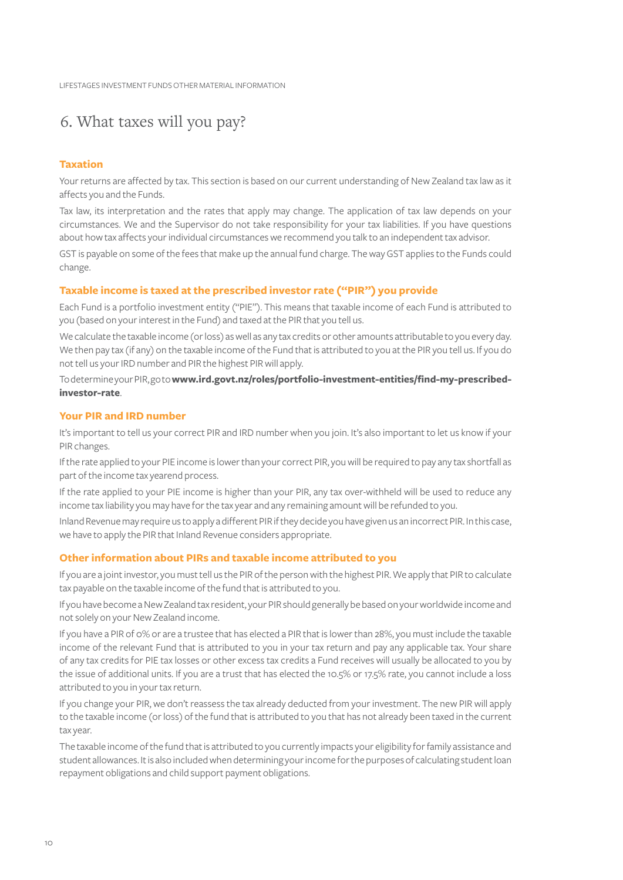# 6. What taxes will you pay?

# **Taxation**

Your returns are affected by tax. This section is based on our current understanding of New Zealand tax law as it affects you and the Funds.

Tax law, its interpretation and the rates that apply may change. The application of tax law depends on your circumstances. We and the Supervisor do not take responsibility for your tax liabilities. If you have questions about how tax affects your individual circumstances we recommend you talk to an independent tax advisor.

GST is payable on some of the fees that make up the annual fund charge. The way GST applies to the Funds could change.

# **Taxable income is taxed at the prescribed investor rate ("PIR") you provide**

Each Fund is a portfolio investment entity ("PIE"). This means that taxable income of each Fund is attributed to you (based on your interest in the Fund) and taxed at the PIR that you tell us.

We calculate the taxable income (or loss) as well as any tax credits or other amounts attributable to you every day. We then pay tax (if any) on the taxable income of the Fund that is attributed to you at the PIR you tell us. If you do not tell us your IRD number and PIR the highest PIR will apply.

To determine your PIR, go to **[www.ird.govt.nz/roles/portfolio-investment-entities/find-my-prescribed](https://www.ird.govt.nz/roles/portfolio-investment-entities/find-my-prescribed-investor-rate)[investor-rate](https://www.ird.govt.nz/roles/portfolio-investment-entities/find-my-prescribed-investor-rate)**.

## **Your PIR and IRD number**

It's important to tell us your correct PIR and IRD number when you join. It's also important to let us know if your PIR changes.

If the rate applied to your PIE income is lower than your correct PIR, you will be required to pay any tax shortfall as part of the income tax yearend process.

If the rate applied to your PIE income is higher than your PIR, any tax over-withheld will be used to reduce any income tax liability you may have for the tax year and any remaining amount will be refunded to you.

Inland Revenue may require us to apply a different PIR if they decide you have given us an incorrect PIR. In this case, we have to apply the PIR that Inland Revenue considers appropriate.

# **Other information about PIRs and taxable income attributed to you**

If you are a joint investor, you must tell us the PIR of the person with the highest PIR. We apply that PIR to calculate tax payable on the taxable income of the fund that is attributed to you.

If you have become a New Zealand tax resident, your PIR should generally be based on your worldwide income and not solely on your New Zealand income.

If you have a PIR of 0% or are a trustee that has elected a PIR that is lower than 28%, you must include the taxable income of the relevant Fund that is attributed to you in your tax return and pay any applicable tax. Your share of any tax credits for PIE tax losses or other excess tax credits a Fund receives will usually be allocated to you by the issue of additional units. If you are a trust that has elected the 10.5% or 17.5% rate, you cannot include a loss attributed to you in your tax return.

If you change your PIR, we don't reassess the tax already deducted from your investment. The new PIR will apply to the taxable income (or loss) of the fund that is attributed to you that has not already been taxed in the current tax year.

The taxable income of the fund that is attributed to you currently impacts your eligibility for family assistance and student allowances. It is also included when determining your income for the purposes of calculating student loan repayment obligations and child support payment obligations.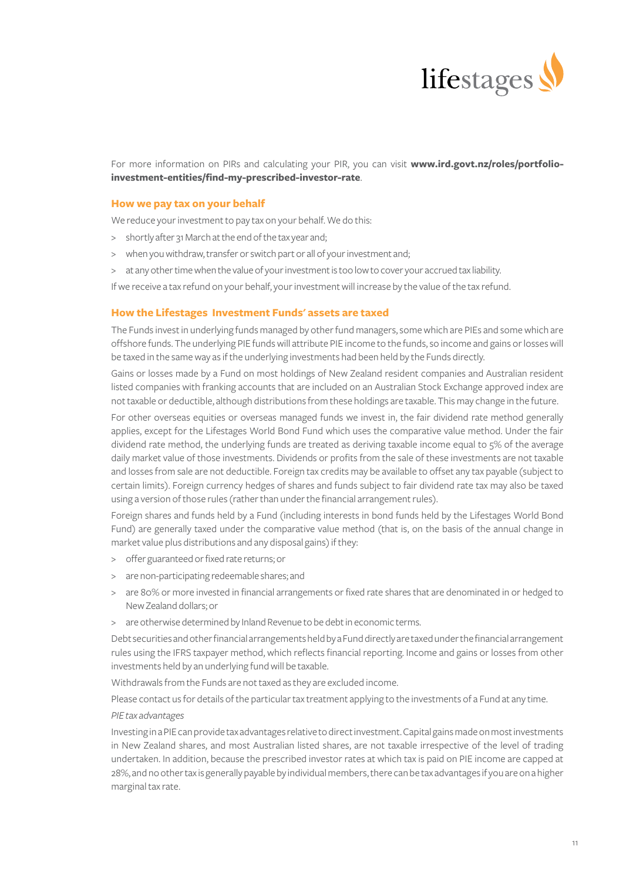

For more information on PIRs and calculating your PIR, you can visit **[www.ird.govt.nz/roles/portfolio](https://www.ird.govt.nz/roles/portfolio-investment-entities/find-my-prescribed-investor-rate)[investment-entities/find-my-prescribed-investor-rate](https://www.ird.govt.nz/roles/portfolio-investment-entities/find-my-prescribed-investor-rate)**.

## **How we pay tax on your behalf**

We reduce your investment to pay tax on your behalf. We do this:

- > shortly after 31 March at the end of the tax year and;
- > when you withdraw, transfer or switch part or all of your investment and;
- > at any other time when the value of your investment is too low to cover your accrued tax liability.
- If we receive a tax refund on your behalf, your investment will increase by the value of the tax refund.

## **How the Lifestages Investment Funds' assets are taxed**

The Funds invest in underlying funds managed by other fund managers, some which are PIEs and some which are offshore funds. The underlying PIE funds will attribute PIE income to the funds, so income and gains or losses will be taxed in the same way as if the underlying investments had been held by the Funds directly.

Gains or losses made by a Fund on most holdings of New Zealand resident companies and Australian resident listed companies with franking accounts that are included on an Australian Stock Exchange approved index are not taxable or deductible, although distributions from these holdings are taxable. This may change in the future.

For other overseas equities or overseas managed funds we invest in, the fair dividend rate method generally applies, except for the Lifestages World Bond Fund which uses the comparative value method. Under the fair dividend rate method, the underlying funds are treated as deriving taxable income equal to 5% of the average daily market value of those investments. Dividends or profits from the sale of these investments are not taxable and losses from sale are not deductible. Foreign tax credits may be available to offset any tax payable (subject to certain limits). Foreign currency hedges of shares and funds subject to fair dividend rate tax may also be taxed using a version of those rules (rather than under the financial arrangement rules).

Foreign shares and funds held by a Fund (including interests in bond funds held by the Lifestages World Bond Fund) are generally taxed under the comparative value method (that is, on the basis of the annual change in market value plus distributions and any disposal gains) if they:

- > offer guaranteed or fixed rate returns; or
- > are non-participating redeemable shares; and
- > are 80% or more invested in financial arrangements or fixed rate shares that are denominated in or hedged to New Zealand dollars; or
- > are otherwise determined by Inland Revenue to be debt in economic terms.

Debt securities and other financial arrangements held by a Fund directly are taxed under the financial arrangement rules using the IFRS taxpayer method, which reflects financial reporting. Income and gains or losses from other investments held by an underlying fund will be taxable.

Withdrawals from the Funds are not taxed as they are excluded income.

Please contact us for details of the particular tax treatment applying to the investments of a Fund at any time. *PIE tax advantages*

Investing in a PIE can provide tax advantages relative to direct investment. Capital gains made on most investments in New Zealand shares, and most Australian listed shares, are not taxable irrespective of the level of trading undertaken. In addition, because the prescribed investor rates at which tax is paid on PIE income are capped at 28%, and no other tax is generally payable by individual members, there can be tax advantages if you are on a higher marginal tax rate.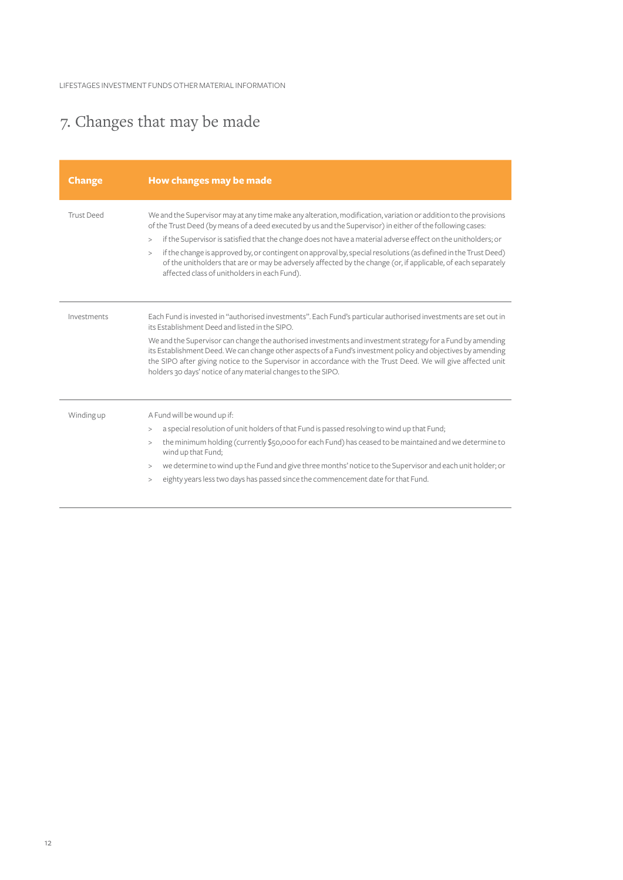# 7. Changes that may be made

| <b>Change</b>     | How changes may be made                                                                                                                                                                                                                                                                                                                                                                                                                                                                                                                                                                                                                      |
|-------------------|----------------------------------------------------------------------------------------------------------------------------------------------------------------------------------------------------------------------------------------------------------------------------------------------------------------------------------------------------------------------------------------------------------------------------------------------------------------------------------------------------------------------------------------------------------------------------------------------------------------------------------------------|
| <b>Trust Deed</b> | We and the Supervisor may at any time make any alteration, modification, variation or addition to the provisions<br>of the Trust Deed (by means of a deed executed by us and the Supervisor) in either of the following cases:<br>if the Supervisor is satisfied that the change does not have a material adverse effect on the unitholders; or<br>><br>if the change is approved by, or contingent on approval by, special resolutions (as defined in the Trust Deed)<br>><br>of the unitholders that are or may be adversely affected by the change (or, if applicable, of each separately<br>affected class of unitholders in each Fund). |
| Investments       | Each Fund is invested in "authorised investments". Each Fund's particular authorised investments are set out in<br>its Establishment Deed and listed in the SIPO.<br>We and the Supervisor can change the authorised investments and investment strategy for a Fund by amending<br>its Establishment Deed. We can change other aspects of a Fund's investment policy and objectives by amending<br>the SIPO after giving notice to the Supervisor in accordance with the Trust Deed. We will give affected unit<br>holders 30 days' notice of any material changes to the SIPO.                                                              |
| Winding up        | A Fund will be wound up if:<br>a special resolution of unit holders of that Fund is passed resolving to wind up that Fund;<br>><br>the minimum holding (currently \$50,000 for each Fund) has ceased to be maintained and we determine to<br>><br>wind up that Fund;<br>we determine to wind up the Fund and give three months' notice to the Supervisor and each unit holder; or<br>><br>eighty years less two days has passed since the commencement date for that Fund.<br>>                                                                                                                                                              |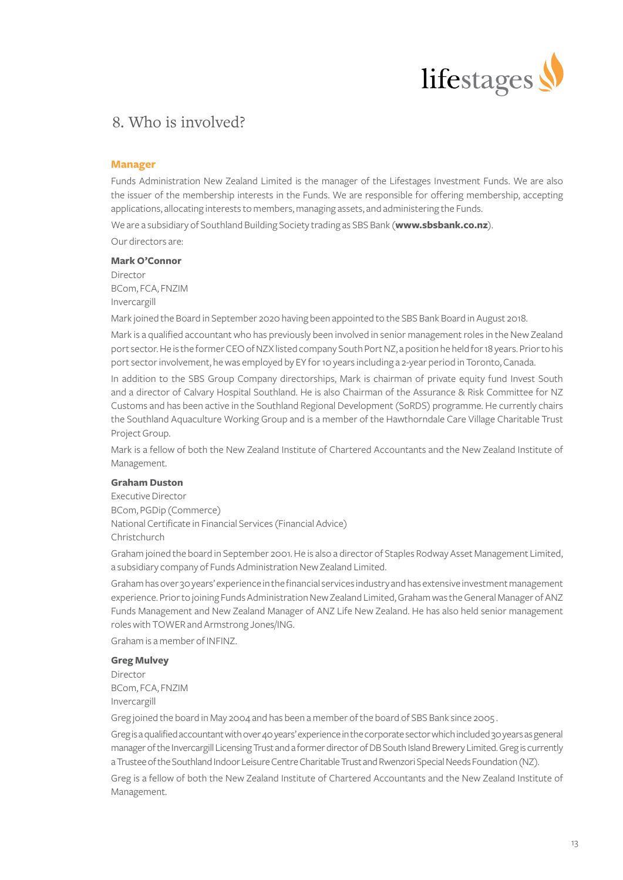

# 8. Who is involved?

## **Manager**

Funds Administration New Zealand Limited is the manager of the Lifestages Investment Funds. We are also the issuer of the membership interests in the Funds. We are responsible for offering membership, accepting applications, allocating interests to members, managing assets, and administering the Funds.

We are a subsidiary of Southland Building Society trading as SBS Bank (**[www.sbsbank.co.nz](https://www.sbsbank.co.nz)**).

Our directors are:

# **Mark O'Connor**

Director BCom, FCA, FNZIM Invercargill

Mark joined the Board in September 2020 having been appointed to the SBS Bank Board in August 2018.

Mark is a qualified accountant who has previously been involved in senior management roles in the New Zealand port sector. He is the former CEO of NZX listed company South Port NZ, a position he held for 18 years. Prior to his port sector involvement, he was employed by EY for 10 years including a 2-year period in Toronto, Canada.

In addition to the SBS Group Company directorships, Mark is chairman of private equity fund Invest South and a director of Calvary Hospital Southland. He is also Chairman of the Assurance & Risk Committee for NZ Customs and has been active in the Southland Regional Development (SoRDS) programme. He currently chairs the Southland Aquaculture Working Group and is a member of the Hawthorndale Care Village Charitable Trust Project Group.

Mark is a fellow of both the New Zealand Institute of Chartered Accountants and the New Zealand Institute of Management.

### **Graham Duston**

Executive Director BCom, PGDip (Commerce) National Certificate in Financial Services (Financial Advice) Christchurch

Graham joined the board in September 2001. He is also a director of Staples Rodway Asset Management Limited, a subsidiary company of Funds Administration New Zealand Limited.

Graham has over 30 years' experience in the financial services industry and has extensive investment management experience. Prior to joining Funds Administration New Zealand Limited, Graham was the General Manager of ANZ Funds Management and New Zealand Manager of ANZ Life New Zealand. He has also held senior management roles with TOWER and Armstrong Jones/ING.

Graham is a member of INFINZ.

# **Greg Mulvey**

Director BCom, FCA, FNZIM Invercargill

Greg joined the board in May 2004 and has been a member of the board of SBS Bank since 2005 .

Greg is a qualified accountant with over 40 years' experience in the corporate sector which included 30 years as general manager of the Invercargill Licensing Trust and a former director of DB South Island Brewery Limited. Greg is currently a Trustee of the Southland Indoor Leisure Centre Charitable Trust and Rwenzori Special Needs Foundation (NZ).

Greg is a fellow of both the New Zealand Institute of Chartered Accountants and the New Zealand Institute of Management.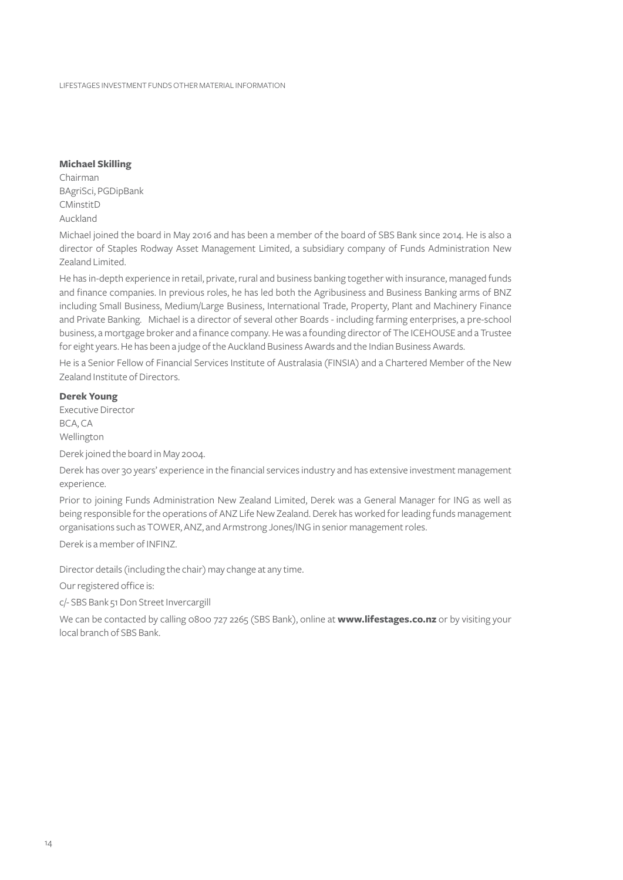### **Michael Skilling**

Chairman BAgriSci, PGDipBank CMinstitD Auckland

Michael joined the board in May 2016 and has been a member of the board of SBS Bank since 2014. He is also a director of Staples Rodway Asset Management Limited, a subsidiary company of Funds Administration New Zealand Limited.

He has in-depth experience in retail, private, rural and business banking together with insurance, managed funds and finance companies. In previous roles, he has led both the Agribusiness and Business Banking arms of BNZ including Small Business, Medium/Large Business, International Trade, Property, Plant and Machinery Finance and Private Banking. Michael is a director of several other Boards - including farming enterprises, a pre-school business, a mortgage broker and a finance company. He was a founding director of The ICEHOUSE and a Trustee for eight years. He has been a judge of the Auckland Business Awards and the Indian Business Awards.

He is a Senior Fellow of Financial Services Institute of Australasia (FINSIA) and a Chartered Member of the New Zealand Institute of Directors.

# **Derek Young**

Executive Director BCA, CA Wellington

Derek joined the board in May 2004.

Derek has over 30 years' experience in the financial services industry and has extensive investment management experience.

Prior to joining Funds Administration New Zealand Limited, Derek was a General Manager for ING as well as being responsible for the operations of ANZ Life New Zealand. Derek has worked for leading funds management organisations such as TOWER, ANZ, and Armstrong Jones/ING in senior management roles.

Derek is a member of INFINZ.

Director details (including the chair) may change at any time.

Our registered office is:

c/- SBS Bank 51 Don Street Invercargill

We can be contacted by calling 0800 727 2265 (SBS Bank), online at **[www.lifestages.co.nz](https://www.lifestages.co.nz/)** or by visiting your local branch of SBS Bank.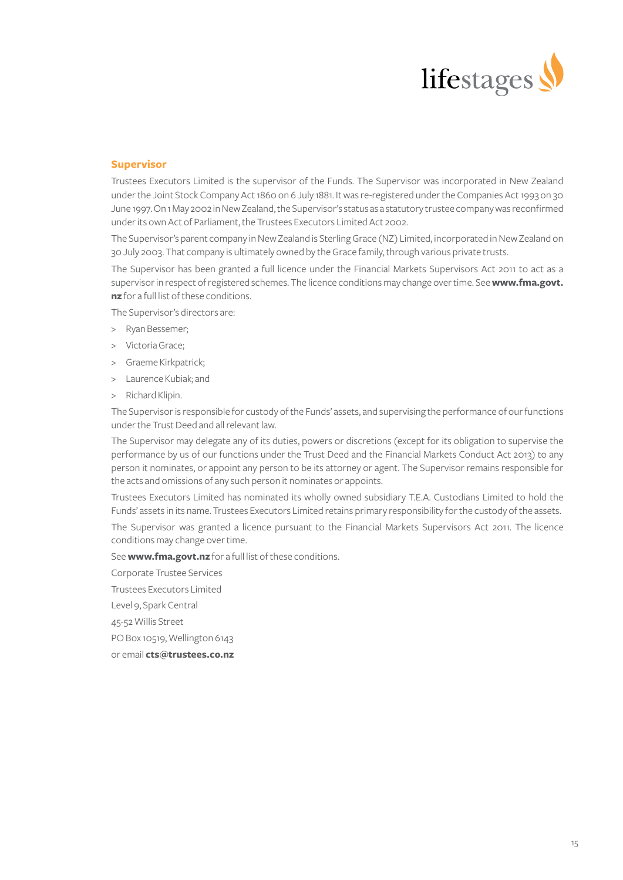

# **Supervisor**

Trustees Executors Limited is the supervisor of the Funds. The Supervisor was incorporated in New Zealand under the Joint Stock Company Act 1860 on 6 July 1881. It was re-registered under the Companies Act 1993 on 30 June 1997. On 1 May 2002 in New Zealand, the Supervisor's status as a statutory trustee company was reconfirmed under its own Act of Parliament, the Trustees Executors Limited Act 2002.

The Supervisor's parent company in New Zealand is Sterling Grace (NZ) Limited, incorporated in New Zealand on 30 July 2003. That company is ultimately owned by the Grace family, through various private trusts.

The Supervisor has been granted a full licence under the Financial Markets Supervisors Act 2011 to act as a supervisor in respect of registered schemes. The licence conditions may change over time. See **[www.fma.govt.](http://www.fma.govt.nz) [nz](http://www.fma.govt.nz)** for a full list of these conditions.

The Supervisor's directors are:

- > Ryan Bessemer;
- > Victoria Grace;
- > Graeme Kirkpatrick;
- > Laurence Kubiak; and
- > Richard Klipin.

The Supervisor is responsible for custody of the Funds' assets, and supervising the performance of our functions under the Trust Deed and all relevant law.

The Supervisor may delegate any of its duties, powers or discretions (except for its obligation to supervise the performance by us of our functions under the Trust Deed and the Financial Markets Conduct Act 2013) to any person it nominates, or appoint any person to be its attorney or agent. The Supervisor remains responsible for the acts and omissions of any such person it nominates or appoints.

Trustees Executors Limited has nominated its wholly owned subsidiary T.E.A. Custodians Limited to hold the Funds' assets in its name. Trustees Executors Limited retains primary responsibility for the custody of the assets.

The Supervisor was granted a licence pursuant to the Financial Markets Supervisors Act 2011. The licence conditions may change over time.

See **[www.fma.govt.nz](http://www.fma.govt.nz)** for a full list of these conditions.

Corporate Trustee Services

Trustees Executors Limited

Level 9, Spark Central

45-52 Willis Street

PO Box 10519, Wellington 6143

or email **[cts@trustees.co.nz](https://cts@trustees.co.nz)**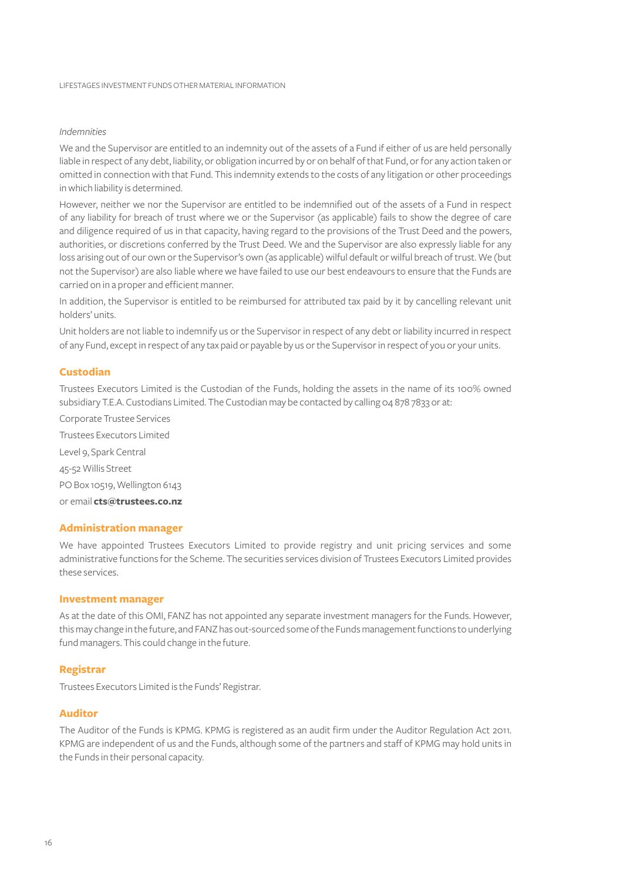# *Indemnities*

We and the Supervisor are entitled to an indemnity out of the assets of a Fund if either of us are held personally liable in respect of any debt, liability, or obligation incurred by or on behalf of that Fund, or for any action taken or omitted in connection with that Fund. This indemnity extends to the costs of any litigation or other proceedings in which liability is determined.

However, neither we nor the Supervisor are entitled to be indemnified out of the assets of a Fund in respect of any liability for breach of trust where we or the Supervisor (as applicable) fails to show the degree of care and diligence required of us in that capacity, having regard to the provisions of the Trust Deed and the powers, authorities, or discretions conferred by the Trust Deed. We and the Supervisor are also expressly liable for any loss arising out of our own or the Supervisor's own (as applicable) wilful default or wilful breach of trust. We (but not the Supervisor) are also liable where we have failed to use our best endeavours to ensure that the Funds are carried on in a proper and efficient manner.

In addition, the Supervisor is entitled to be reimbursed for attributed tax paid by it by cancelling relevant unit holders' units.

Unit holders are not liable to indemnify us or the Supervisor in respect of any debt or liability incurred in respect of any Fund, except in respect of any tax paid or payable by us or the Supervisor in respect of you or your units.

# **Custodian**

Trustees Executors Limited is the Custodian of the Funds, holding the assets in the name of its 100% owned subsidiary T.E.A. Custodians Limited. The Custodian may be contacted by calling 04 878 7833 or at:

Corporate Trustee Services Trustees Executors Limited Level 9, Spark Central 45-52 Willis Street PO Box 10519, Wellington 6143 or email **[cts@trustees.co.nz](https://cts@trustees.co.nz)**

## **Administration manager**

We have appointed Trustees Executors Limited to provide registry and unit pricing services and some administrative functions for the Scheme. The securities services division of Trustees Executors Limited provides these services.

# **Investment manager**

As at the date of this OMI, FANZ has not appointed any separate investment managers for the Funds. However, this may change in the future, and FANZ has out-sourced some of the Funds management functions to underlying fund managers. This could change in the future.

# **Registrar**

Trustees Executors Limited is the Funds' Registrar.

### **Auditor**

The Auditor of the Funds is KPMG. KPMG is registered as an audit firm under the Auditor Regulation Act 2011. KPMG are independent of us and the Funds, although some of the partners and staff of KPMG may hold units in the Funds in their personal capacity.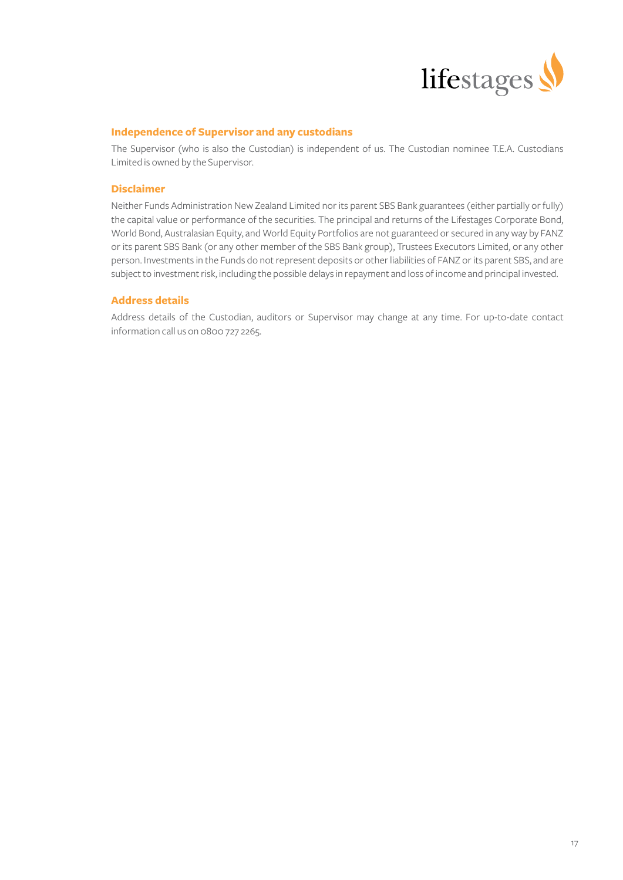

# **Independence of Supervisor and any custodians**

The Supervisor (who is also the Custodian) is independent of us. The Custodian nominee T.E.A. Custodians Limited is owned by the Supervisor.

# **Disclaimer**

Neither Funds Administration New Zealand Limited nor its parent SBS Bank guarantees (either partially or fully) the capital value or performance of the securities. The principal and returns of the Lifestages Corporate Bond, World Bond, Australasian Equity, and World Equity Portfolios are not guaranteed or secured in any way by FANZ or its parent SBS Bank (or any other member of the SBS Bank group), Trustees Executors Limited, or any other person. Investments in the Funds do not represent deposits or other liabilities of FANZ or its parent SBS, and are subject to investment risk, including the possible delays in repayment and loss of income and principal invested.

# **Address details**

Address details of the Custodian, auditors or Supervisor may change at any time. For up-to-date contact information call us on 0800 727 2265.